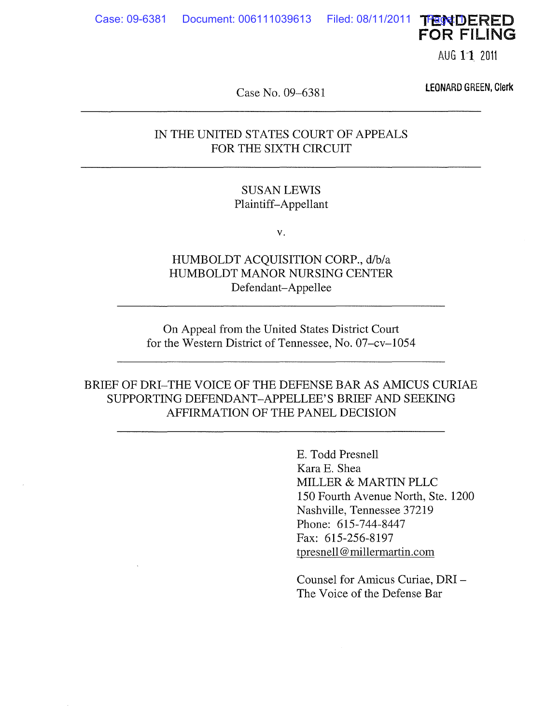Case: 09-6381 Document: 006111039613 Filed: 08/11/2011 TFENDERED FOR FILING

AUG 1<sup>-</sup>1 2011

Case No. 09-6381

LEONARD GREEN, Clerk

#### IN THE UNITED STATES COURT OF APPEALS FOR THE SIXTH CIRCUIT

#### SUSAN LEWIS Plaintiff-Appellant

v.

HUMBOLDT ACQUISITION CORP., d/b/a HUMBOLDT MANOR NURSING CENTER Defendant-Appellee

On Appeal from the United States District Court for the Western District of Tennessee, No. 07-cv-1054

BRIEF OF DRI-THE VOICE OF THE DEFENSE BAR AS AMICUS CURIAE SUPPORTING DEFENDANT-APPELLEE'S BRIEF AND SEEKING AFFIRMATION OF THE PANEL DECISION

> E. Todd Presnell Kara E. Shea MILLER & MARTIN PLLC 150 Fourth Avenue North, Ste. 1200 Nashville, Tennessee 37219 Phone: 615-744-8447 Fax: 615-256-8197 tpresnell@ millermartin.com

Counsel for Amicus Curiae, DRI-The Voice of the Defense Bar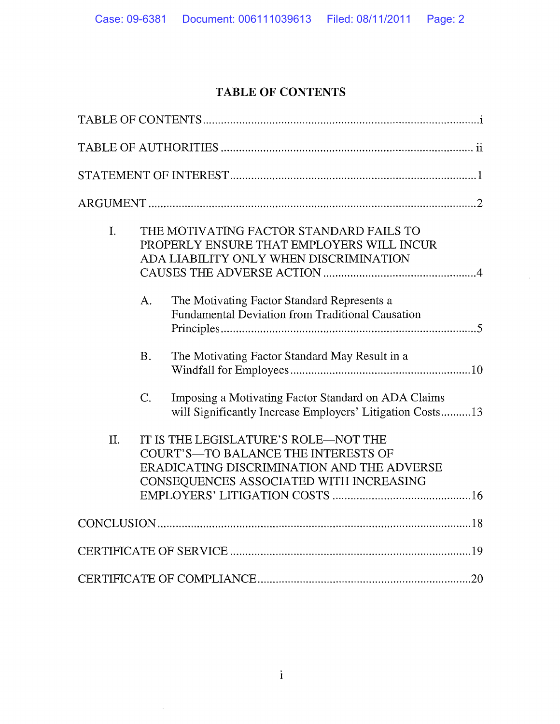# **TABLE OF CONTENTS**

| I.  |                  | THE MOTIVATING FACTOR STANDARD FAILS TO<br>PROPERLY ENSURE THAT EMPLOYERS WILL INCUR<br>ADA LIABILITY ONLY WHEN DISCRIMINATION                                       |
|-----|------------------|----------------------------------------------------------------------------------------------------------------------------------------------------------------------|
|     | A.               | The Motivating Factor Standard Represents a<br>Fundamental Deviation from Traditional Causation                                                                      |
|     | <b>B.</b>        | The Motivating Factor Standard May Result in a                                                                                                                       |
|     | $\overline{C}$ . | Imposing a Motivating Factor Standard on ADA Claims<br>will Significantly Increase Employers' Litigation Costs13                                                     |
| II. |                  | IT IS THE LEGISLATURE'S ROLE-NOT THE<br>COURT'S-TO BALANCE THE INTERESTS OF<br>ERADICATING DISCRIMINATION AND THE ADVERSE<br>CONSEQUENCES ASSOCIATED WITH INCREASING |
|     |                  |                                                                                                                                                                      |
|     |                  |                                                                                                                                                                      |
|     |                  |                                                                                                                                                                      |

 $\sim 10^7$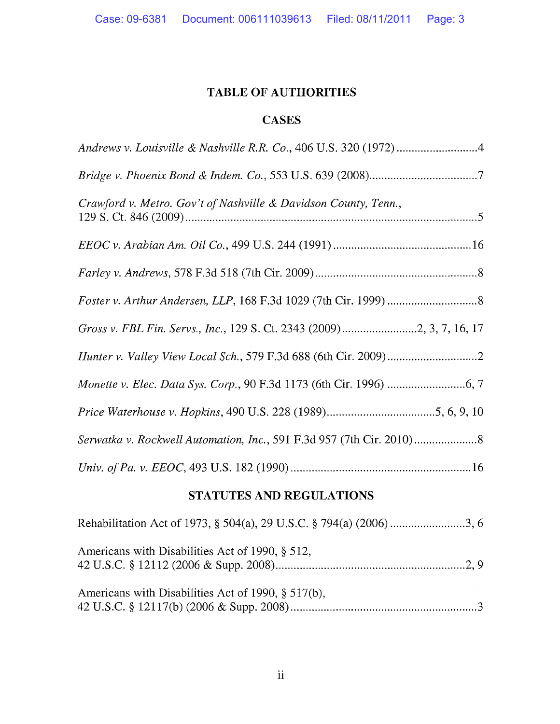# **TABLE OF AUTHORITIES**

## **CASES**

# **STATUTES AND REGULATIONS**

| Americans with Disabilities Act of 1990, § 512,    |
|----------------------------------------------------|
| Americans with Disabilities Act of 1990, § 517(b), |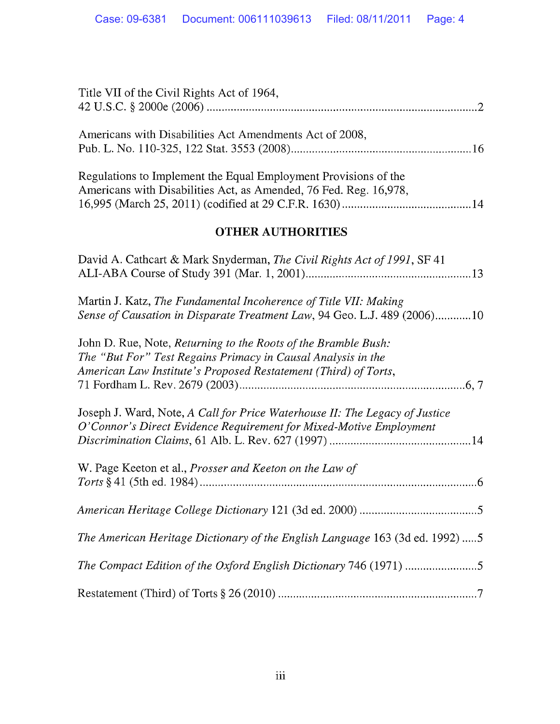| Title VII of the Civil Rights Act of 1964,                                                                                                                                                        |
|---------------------------------------------------------------------------------------------------------------------------------------------------------------------------------------------------|
| Americans with Disabilities Act Amendments Act of 2008,                                                                                                                                           |
| Regulations to Implement the Equal Employment Provisions of the<br>Americans with Disabilities Act, as Amended, 76 Fed. Reg. 16,978,                                                              |
| <b>OTHER AUTHORITIES</b>                                                                                                                                                                          |
| David A. Cathcart & Mark Snyderman, The Civil Rights Act of 1991, SF 41                                                                                                                           |
| Martin J. Katz, The Fundamental Incoherence of Title VII: Making<br>Sense of Causation in Disparate Treatment Law, 94 Geo. L.J. 489 (2006)10                                                      |
| John D. Rue, Note, Returning to the Roots of the Bramble Bush:<br>The "But For" Test Regains Primacy in Causal Analysis in the<br>American Law Institute's Proposed Restatement (Third) of Torts, |
| Joseph J. Ward, Note, A Call for Price Waterhouse II: The Legacy of Justice<br>O'Connor's Direct Evidence Requirement for Mixed-Motive Employment                                                 |
| W. Page Keeton et al., Prosser and Keeton on the Law of                                                                                                                                           |
|                                                                                                                                                                                                   |
| The American Heritage Dictionary of the English Language 163 (3d ed. 1992) 5                                                                                                                      |
|                                                                                                                                                                                                   |
|                                                                                                                                                                                                   |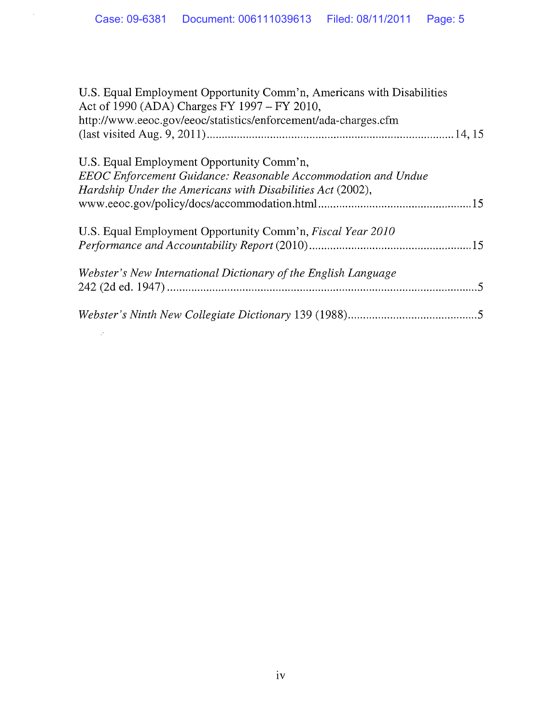$\mathcal{L}(\mathcal{L})$  .

| U.S. Equal Employment Opportunity Comm'n, Americans with Disabilities<br>Act of 1990 (ADA) Charges FY 1997 - FY 2010, |
|-----------------------------------------------------------------------------------------------------------------------|
| http://www.eeoc.gov/eeoc/statistics/enforcement/ada-charges.cfm                                                       |
|                                                                                                                       |
| U.S. Equal Employment Opportunity Comm'n,                                                                             |
| EEOC Enforcement Guidance: Reasonable Accommodation and Undue                                                         |
| Hardship Under the Americans with Disabilities Act (2002),                                                            |
|                                                                                                                       |
| U.S. Equal Employment Opportunity Comm'n, <i>Fiscal Year 2010</i>                                                     |
|                                                                                                                       |
| Webster's New International Dictionary of the English Language                                                        |
|                                                                                                                       |
|                                                                                                                       |
|                                                                                                                       |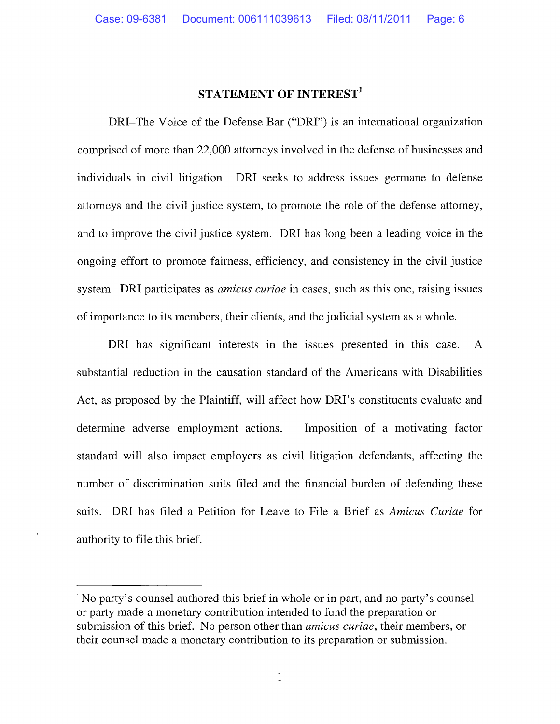#### **STATEMENT OF INTEREST<sup>1</sup>**

DRI-The Voice of the Defense Bar ("DRI") is an international organization comprised of more than 22,000 attorneys involved in the defense of businesses and individuals in civil litigation. DRI seeks to address issues germane to defense attorneys and the civil justice system, to promote the role of the defense attorney, and to improve the civil justice system. DRI has long been a leading voice in the ongoing effort to promote fairness, efficiency, and consistency in the civil justice system. DRI participates as *amicus curiae* in cases, such as this one, raising issues of importance to its members, their clients, and the judicial system as a whole.

DRI has significant interests in the issues presented in this case. A substantial reduction in the causation standard of the Americans with Disabilities Act, as proposed by the Plaintiff, will affect how DRI's constituents evaluate and determine adverse employment actions. Imposition of a motivating factor standard will also impact employers as civil litigation defendants, affecting the number of discrimination suits filed and the financial burden of defending these suits. DRI has filed a Petition for Leave to File a Brief as *Amicus Curiae* for authority to file this brief.

<sup>&</sup>lt;sup>1</sup>No party's counsel authored this brief in whole or in part, and no party's counsel or party made a monetary contribution intended to fund the preparation or submission of this brief. No person other than *amicus curiae,* their members, or their counsel made a monetary contribution to its preparation or submission.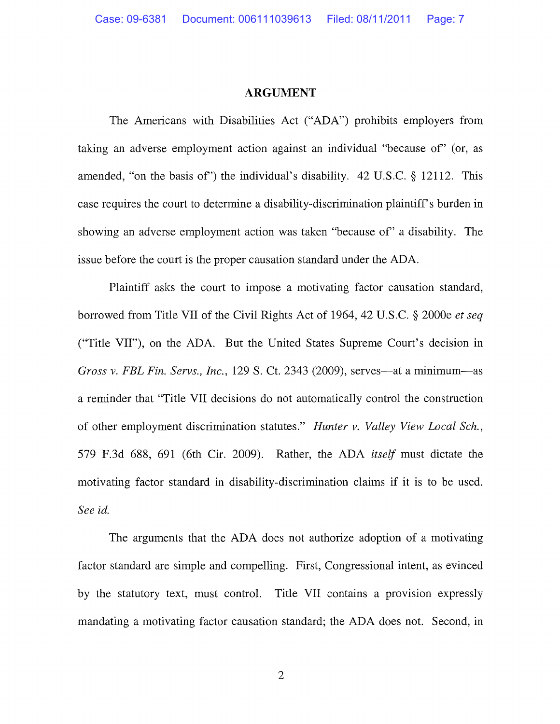#### **ARGUMENT**

The Americans with Disabilities Act ("ADA") prohibits employers from taking an adverse employment action against an individual "because of' (or, as amended, "on the basis of') the individual's disability. 42 U.S.C. § 12112. This case requires the court to determine a disability-discrimination plaintiff's burden in showing an adverse employment action was taken "because of' a disability. The issue before the court is the proper causation standard under the ADA.

Plaintiff asks the court to impose a motivating factor causation standard, borrowed from Title VII of the Civil Rights Act of 1964, 42 U.S.C. § 2000e *et seq*  ("Title VII"), on the ADA. But the United States Supreme Court's decision in *Gross v. FBL Fin. Servs., Inc.,* 129 S. Ct. 2343 (2009), serves—at a minimum—as a reminder that "Title VII decisions do not automatically control the construction of other employment discrimination statutes." *Hunter v. Valley View Local Sch.,*  579 F.3d 688, 691 (6th Cir. 2009). Rather, the ADA *itself* must dictate the motivating factor standard in disability-discrimination claims if it is to be used. *See id.* 

The arguments that the ADA does not authorize adoption of a motivating factor standard are simple and compelling. First, Congressional intent, as evinced by the statutory text, must control. Title VII contains a provision expressly mandating a motivating factor causation standard; the ADA does not. Second, in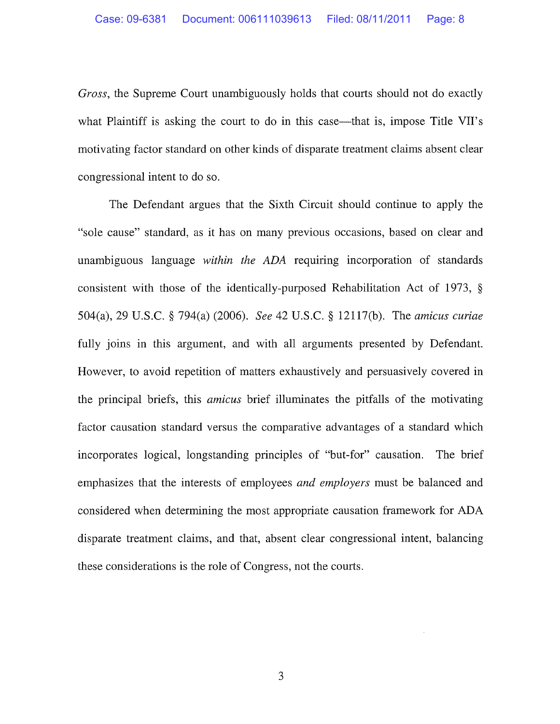*Gross,* the Supreme Court unambiguously holds that courts should not do exactly what Plaintiff is asking the court to do in this case—that is, impose Title VII's motivating factor standard on other kinds of disparate treatment claims absent clear congressional intent to do so.

The Defendant argues that the Sixth Circuit should continue to apply the "sole cause" standard, as it has on many previous occasions, based on clear and unambiguous language *within the ADA* requiring incorporation of standards consistent with those of the identically-purposed Rehabilitation Act of 1973, § 504(a), 29 U.S.C. § 794(a) (2006). *See* 42 U.S.C. § 12117(b). The *amicus curiae*  fully joins in this argument, and with all arguments presented by Defendant. However, to avoid repetition of matters exhaustively and persuasively covered in the principal briefs, this *amicus* brief illuminates the pitfalls of the motivating factor causation standard versus the comparative advantages of a standard which incorporates logical, longstanding principles of "but-for" causation. The brief emphasizes that the interests of employees *and employers* must be balanced and considered when determining the most appropriate causation framework for ADA disparate treatment claims, and that, absent clear congressional intent, balancing these considerations is the role of Congress, not the courts.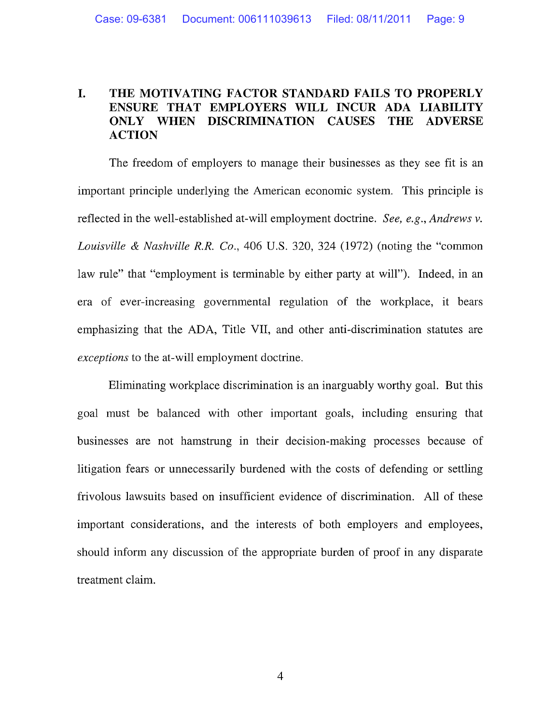#### **I. THE MOTIVATING FACTOR STANDARD FAILS TO PROPERLY ENSURE THAT EMPLOYERS WILL INCUR ADA LIABILITY ONLY WHEN DISCRIMINATION CAUSES THE ADVERSE ACTION**

The freedom of employers to manage their businesses as they see fit is an important principle underlying the American economic system. This principle is reflected in the well-established at-will employment doctrine. *See, e.g., Andrews v. Louisville* & *Nashville R.R. Co.,* 406 U.S. 320, 324 (1972) (noting the "common law rule" that "employment is terminable by either party at will"). Indeed, in an era of ever-increasing governmental regulation of the workplace, it bears emphasizing that the ADA, Title VII, and other anti-discrimination statutes are *exceptions* to the at-will employment doctrine.

Eliminating workplace discrimination is an inarguably worthy goal. But this goal must be balanced with other important goals, including ensuring that businesses are not hamstrung in their decision-making processes because of litigation fears or unnecessarily burdened with the costs of defending or settling frivolous lawsuits based on insufficient evidence of discrimination. All of these important considerations, and the interests of both employers and employees, should inform any discussion of the appropriate burden of proof in any disparate treatment claim.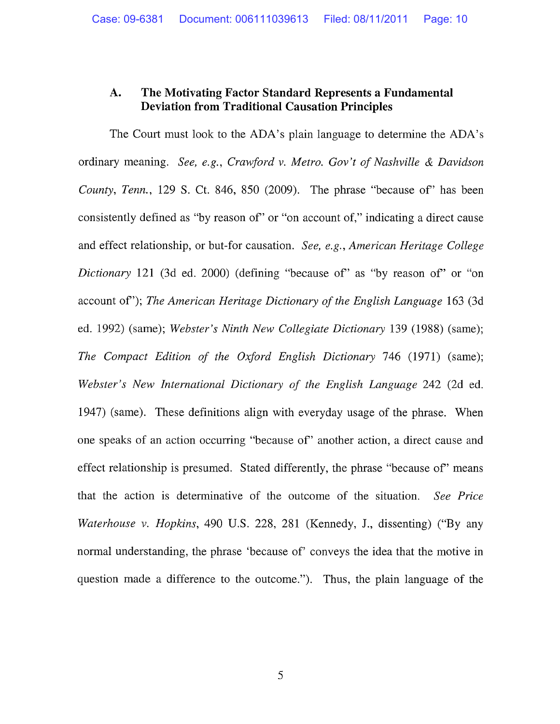#### **A. The Motivating Factor Standard Represents a Fundamental Deviation from Traditional Causation Principles**

The Court must look to the ADA's plain language to determine the ADA's ordinary meaning. *See, e.g., Crawford v. Metro. Gov't of Nashville & Davidson County, Tenn.,* 129 S. Ct. 846, 850 (2009). The phrase "because of' has been consistently defined as "by reason of' or "on account of," indicating a direct cause and effect relationship, or but-for causation. *See, e.g., American Heritage College Dictionary* 121 (3d ed. 2000) (defining "because of' as "by reason of' or "on account of'); *The American Heritage Dictionary of the English Language* 163 (3d ed. 1992) (same); *Webster's Ninth New Collegiate Dictionary* 139 (1988) (same); *The Compact Edition of the Oxford English Dictionary* 746 (1971) (same); *Webster's New International Dictionary of the English Language* 242 (2d ed. 1947) (same). These definitions align with everyday usage of the phrase. When one speaks of an action occurring "because of' another action, a direct cause and effect relationship is presumed. Stated differently, the phrase "because of' means that the action is determinative of the outcome of the situation. *See Price Waterhouse v. Hopkins,* 490 U.S. 228, 281 (Kennedy, J., dissenting) ("By any normal understanding, the phrase 'because of' conveys the idea that the motive in question made a difference to the outcome."). Thus, the plain language of the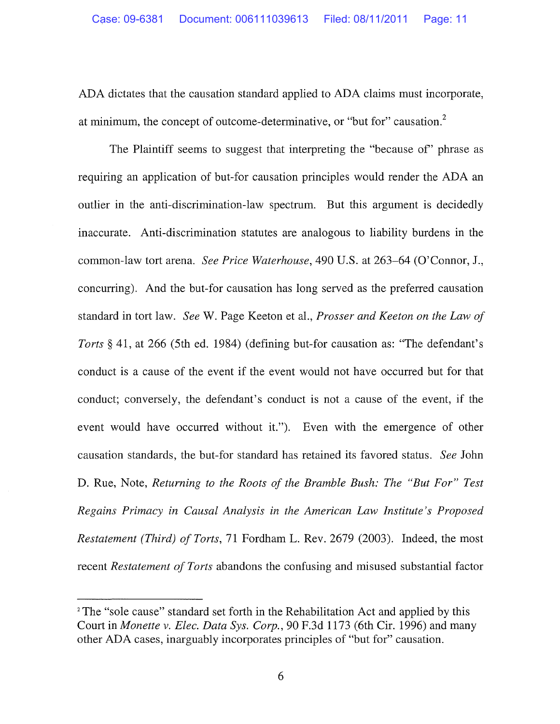ADA dictates that the causation standard applied to ADA claims must incorporate, at minimum, the concept of outcome-determinative, or "but for" causation.<sup>2</sup>

The Plaintiff seems to suggest that interpreting the "because of' phrase as requiring an application of but-for causation principles would render the ADA an outlier in the anti-discrimination-law spectrum. But this argument is decidedly inaccurate. Anti-discrimination statutes are analogous to liability burdens in the common-law tort arena. *See Price Waterhouse,* 490 U.S. at 263-64 (O'Connor, J., concurring). And the but-for causation has long served as the preferred causation standard in tort law. *See* W. Page Keeton et al., *Prosser and Keeton on the Law of Torts§* 41, at 266 (5th ed. 1984) (defining but-for causation as: "The defendant's conduct is a cause of the event if the event would not have occurred but for that conduct; conversely, the defendant's conduct is not a cause of the event, if the event would have occurred without it."). Even with the emergence of other causation standards, the but-for standard has retained its favored status. *See* John D. Rue, Note, *Returning to the Roots of the Bramble Bush: The "But For" Test Regains Primacy in Causal Analysis in the American Law Institute's Proposed Restatement (Third) of Torts,* 71 Fordham L. Rev. 2679 (2003). Indeed, the most recent *Restatement of Torts* abandons the confusing and misused substantial factor

<sup>&</sup>lt;sup>2</sup> The "sole cause" standard set forth in the Rehabilitation Act and applied by this Court in *Monette v. Elec. Data Sys. Corp.,* 90 F.3d 1173 (6th Cir. 1996) and many other ADA cases, inarguably incorporates principles of "but for" causation.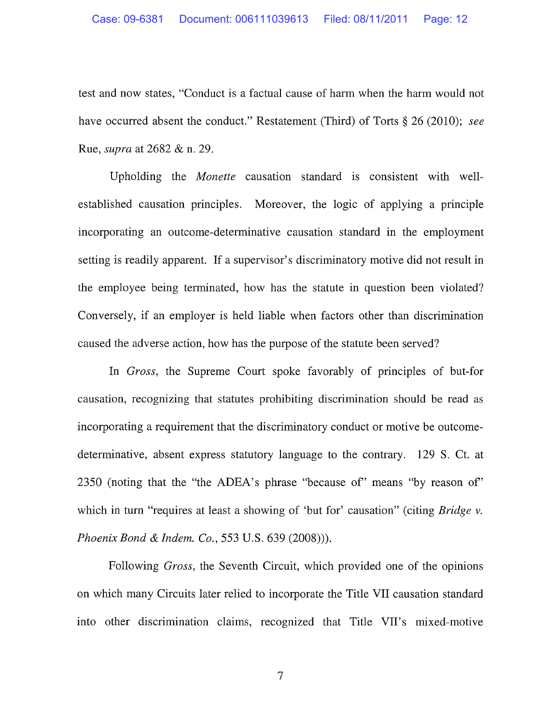test and now states, "Conduct is a factual cause of harm when the harm would not have occurred absent the conduct." Restatement (Third) of Torts § 26 (2010); *see*  Rue, *supra* at 2682 & n. 29.

Upholding the *Monette* causation standard is consistent with wellestablished causation principles. Moreover, the logic of applying a principle incorporating an outcome-determinative causation standard **in** the employment setting is readily apparent. If a supervisor's discriminatory motive **did** not result in the employee being terminated, how has the statute in question been violated? Conversely, if an employer is held liable when factors other than discrimination caused the adverse action, how has the purpose of the statute been served?

In *Gross,* the Supreme Court spoke favorably of principles of but-for causation, recognizing that statutes prohibiting discrimination should be read as incorporating a requirement that the discriminatory conduct or motive be outcomedeterminative, absent express statutory language to the contrary. 129 S. Ct. at 2350 (noting that the "the ADEA's phrase "because of" means "by reason of" which in turn "requires at least a showing of 'but for' causation" (citing *Bridge v. Phoenix Bond* & *Indem. Co.,* 553 U.S. 639 (2008))).

Following *Gross,* the Seventh Circuit, which provided one of the opinions on which many Circuits later relied to incorporate the Title VII causation standard into other discrimination claims, recognized that Title VII's mixed-motive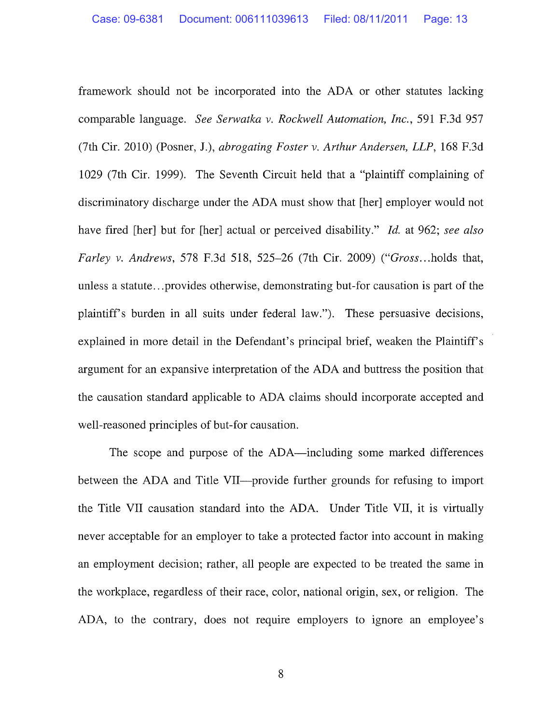framework should not be incorporated into the ADA or other statutes lacking comparable language. *See Serwatka v. Rockwell Automation, Inc.,* 591 F.3d 957 (7th Cir. 2010) (Posner, J.), *abrogating Foster v. Arthur Andersen, LLP,* 168 F.3d 1029 (7th Cir. 1999). The Seventh Circuit held that a "plaintiff complaining of discriminatory discharge under the ADA must show that [her] employer would not have fired [her] but for [her] actual or perceived disability." *Id.* at 962; *see also Farley v. Andrews,* 578 F.3d 518, 525-26 (7th Cir. 2009) *("Gross ..* . holds that, unless a statute ... provides otherwise, demonstrating but-for causation is part of the plaintiff's burden in all suits under federal law."). These persuasive decisions, explained in more detail in the Defendant's principal brief, weaken the Plaintiff's argument for an expansive interpretation of the ADA and buttress the position that the causation standard applicable to ADA claims should incorporate accepted and well-reasoned principles of but-for causation.

The scope and purpose of the ADA—including some marked differences between the ADA and Title VII—provide further grounds for refusing to import the Title VII causation standard into the ADA. Under Title VII, it is virtually never acceptable for an employer to take a protected factor into account in making an employment decision; rather, all people are expected to be treated the same in the workplace, regardless of their race, color, national origin, sex, or religion. The ADA, to the contrary, does not require employers to ignore an employee's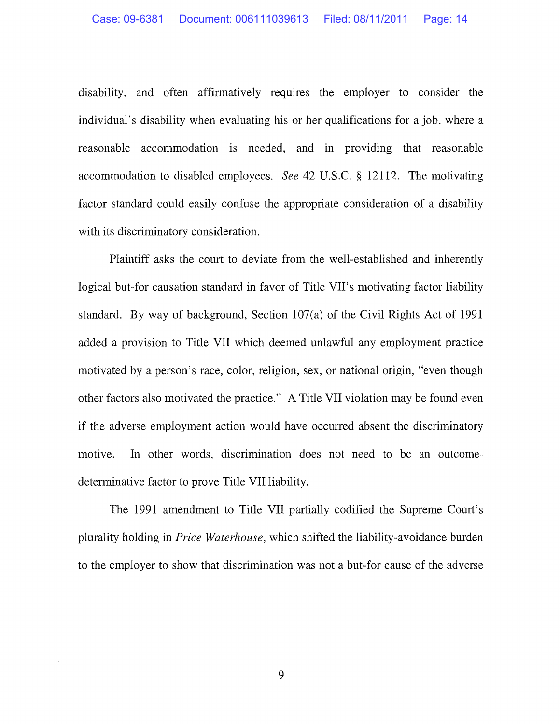disability, and often affirmatively requires the employer to consider the individual's disability when evaluating his or her qualifications for a job, where a reasonable accommodation is needed, and in providing that reasonable accommodation to disabled employees. *See* 42 U.S.C. § 12112. The motivating factor standard could easily confuse the appropriate consideration of a disability with its discriminatory consideration.

Plaintiff asks the court to deviate from the well-established and inherently logical but-for causation standard in favor of Title VII's motivating factor liability standard. By way of background, Section 107(a) of the Civil Rights Act of 1991 added a provision to Title VII which deemed unlawful any employment practice motivated by a person's race, color, religion, sex, or national origin, "even though other factors also motivated the practice." A Title VII violation may be found even if the adverse employment action would have occurred absent the discriminatory motive. In other words, discrimination does not need to be an outcomedeterminative factor to prove Title VII liability.

The 1991 amendment to Title VII partially codified the Supreme Court's plurality holding in *Price Waterhouse,* which shifted the liability-avoidance burden to the employer to show that discrimination was not a but-for cause of the adverse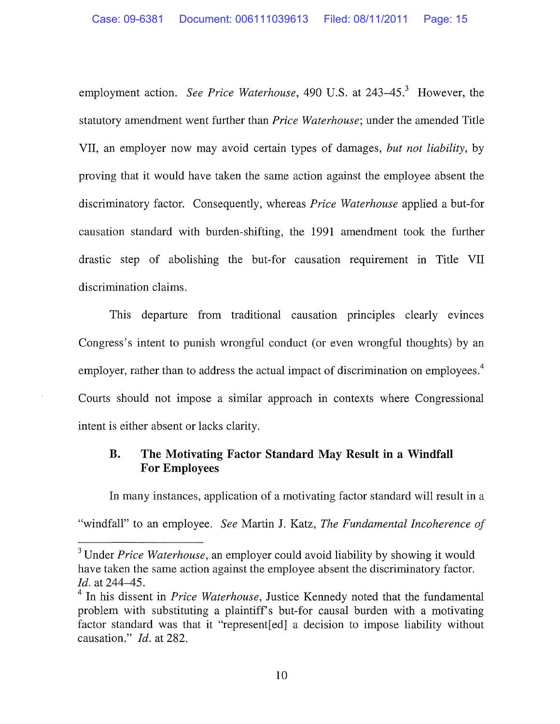employment action. *See Price Waterhouse*, 490 U.S. at 243–45.<sup>3</sup> However, the statutory amendment went further than *Price Waterhouse;* under the amended Title VII, an employer now may avoid certain types of damages, *but not liability,* by proving that it would have taken the same action against the employee absent the discriminatory factor. Consequently, whereas *Price Waterhouse* applied a but-for causation standard with burden-shifting, the 1991 amendment took the further drastic step of abolishing the but-for causation requirement in Title VII discrimination claims.

This departure from traditional causation principles clearly evinces Congress's intent to punish wrongful conduct (or even wrongful thoughts) by an employer, rather than to address the actual impact of discrimination on employees.<sup>4</sup> Courts should not impose a similar approach in contexts where Congressional intent is either absent or lacks clarity.

### **B. The Motivating Factor Standard May Result in a Windfall For Employees**

In many instances, application of a motivating factor standard will result in a "windfall" to an employee. *See* Martin J. Katz, *The Fundamental Incoherence of* 

<sup>3</sup> Under *Price Waterhouse,* an employer could avoid liability by showing it would have taken the same action against the employee absent the discriminatory factor. *!d.* at 244-45.

<sup>&</sup>lt;sup>4</sup> In his dissent in *Price Waterhouse*, Justice Kennedy noted that the fundamental problem with substituting a plaintiff's but-for causal burden with a motivating factor standard was that it "represent[ed] a decision to impose liability without causation." *!d.* at 282.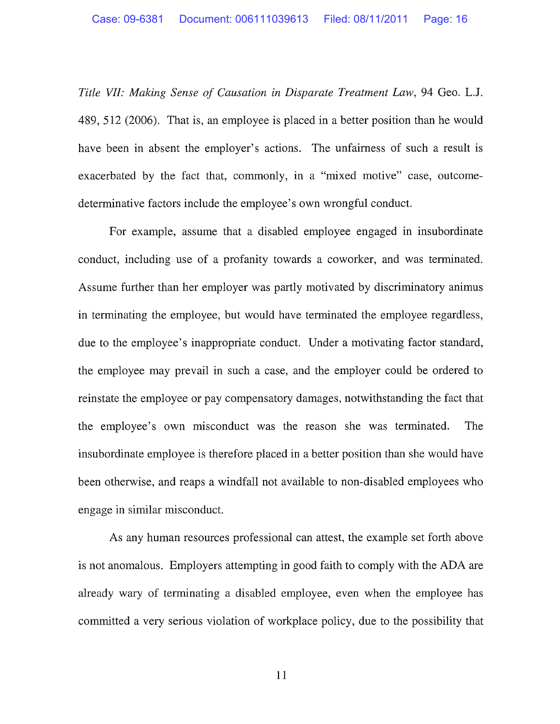*Title VII: Making Sense of Causation in Disparate Treatment Law,* 94 Geo. L.J. 489, 512 (2006). That is, an employee is placed in a better position than he would have been in absent the employer's actions. The unfairness of such a result is exacerbated by the fact that, commonly, in a "mixed motive" case, outcomedeterminative factors include the employee's own wrongful conduct.

For example, assume that a disabled employee engaged in insubordinate conduct, including use of a profanity towards a coworker, and was terminated. Assume further than her employer was partly motivated by discriminatory animus in terminating the employee, but would have terminated the employee regardless, due to the employee's inappropriate conduct. Under a motivating factor standard, the employee may prevail in such a case, and the employer could be ordered to reinstate the employee or pay compensatory damages, notwithstanding the fact that the employee's own misconduct was the reason she was terminated. The insubordinate employee is therefore placed in a better position than she would have been otherwise, and reaps a windfall not available to non-disabled employees who engage in similar misconduct.

As any human resources professional can attest, the example set forth above is not anomalous. Employers attempting in good faith to comply with the ADA are already wary of terminating a disabled employee, even when the employee has committed a very serious violation of workplace policy, due to the possibility that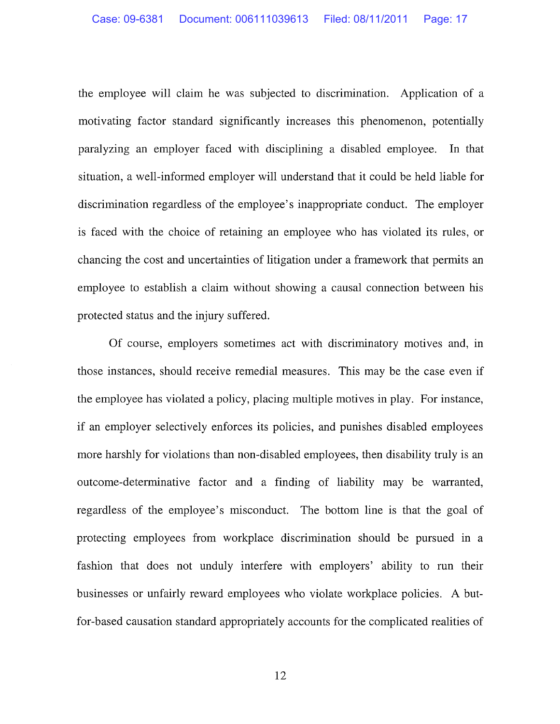the employee will claim he was subjected to discrimination. Application of a motivating factor standard significantly increases this phenomenon, potentially paralyzing an employer faced with disciplining a disabled employee. In that situation, a well-informed employer will understand that it could be held liable for discrimination regardless of the employee's inappropriate conduct. The employer is faced with the choice of retaining an employee who has violated its rules, or chancing the cost and uncertainties of litigation under a framework that permits an employee to establish a claim without showing a causal connection between his protected status and the injury suffered.

Of course, employers sometimes act with discriminatory motives and, in those instances, should receive remedial measures. This may be the case even if the employee has violated a policy, placing multiple motives in play. For instance, if an employer selectively enforces its policies, and punishes disabled employees more harshly for violations than non-disabled employees, then disability truly is an outcome-determinative factor and a finding of liability may be warranted, regardless of the employee's misconduct. The bottom line is that the goal of protecting employees from workplace discrimination should be pursued m a fashion that does not unduly interfere with employers' ability to run their businesses or unfairly reward employees who violate workplace policies. A butfor-based causation standard appropriately accounts for the complicated realities of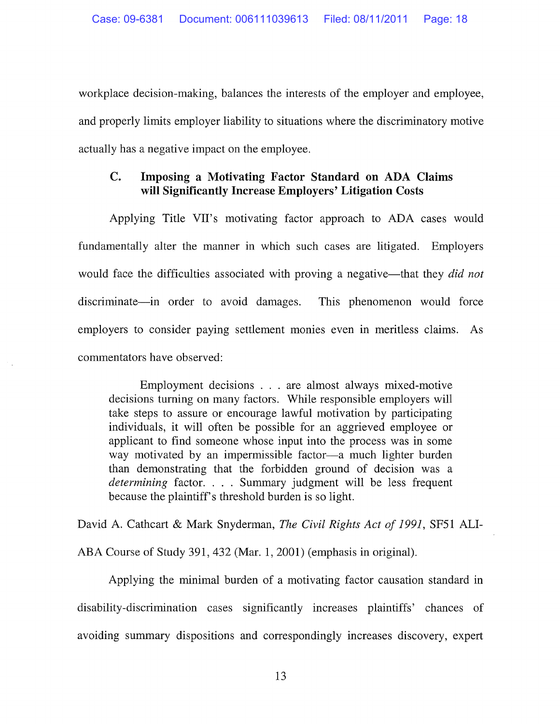workplace decision-making, balances the interests of the employer and employee, and properly limits employer liability to situations where the discriminatory motive actually has a negative impact on the employee.

#### **C. Imposing a Motivating Factor Standard on ADA Claims will Significantly Increase Employers' Litigation Costs**

Applying Title VII's motivating factor approach to ADA cases would fundamentally alter the manner in which such cases are litigated. Employers would face the difficulties associated with proving a negative—that they *did not* discriminate—in order to avoid damages. This phenomenon would force employers to consider paying settlement monies even in meritless claims. As commentators have observed:

Employment decisions . . . are almost always mixed-motive decisions turning on many factors. While responsible employers will take steps to assure or encourage lawful motivation by participating individuals, it will often be possible for an aggrieved employee or applicant to find someone whose input into the process was in some way motivated by an impermissible factor-a much lighter burden than demonstrating that the forbidden ground of decision was a *determining* factor. . . . Summary judgment will be less frequent because the plaintiff's threshold burden is so light.

David A. Cathcart & Mark Snyderman, *The Civil Rights Act of 1991,* SF51 ALI-

ABA Course of Study 391, 432 (Mar. 1, 2001) (emphasis in original).

Applying the minimal burden of a motivating factor causation standard in disability-discrimination cases significantly increases plaintiffs' chances of avoiding summary dispositions and correspondingly increases discovery, expert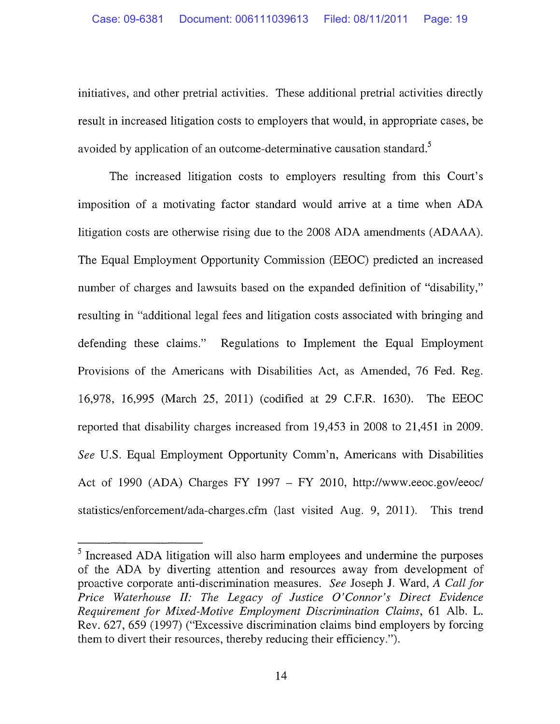initiatives, and other pretrial activities. These additional pretrial activities directly result in increased litigation costs to employers that would, in appropriate cases, be avoided by application of an outcome-determinative causation standard.<sup>5</sup>

The increased litigation costs to employers resulting from this Court's imposition of a motivating factor standard would arrive at a time when ADA litigation costs are otherwise rising due to the 2008 ADA amendments (ADAAA). The Equal Employment Opportunity Commission (EEOC) predicted an increased number of charges and lawsuits based on the expanded definition of "disability," resulting in "additional legal fees and litigation costs associated with bringing and defending these claims." Regulations to Implement the Equal Employment Provisions of the Americans with Disabilities Act, as Amended, 76 Fed. Reg. 16,978, 16,995 (March 25, 2011) (codified at 29 C.F.R. 1630). The EEOC reported that disability charges increased from 19,453 in 2008 to 21,451 in 2009. *See* U.S. Equal Employment Opportunity Comm'n, Americans with Disabilities Act of 1990 (ADA) Charges FY 1997 - FY 2010, http://www.eeoc.gov/eeoc/ statistics/enforcement/ada-charges.cfm (last visited Aug. 9, 2011). This trend

<sup>5</sup> Increased ADA litigation will also harm employees and undermine the purposes of the ADA by diverting attention and resources away from development of proactive corporate anti-discrimination measures. *See* Joseph J. Ward, *A Call for Price Waterhouse II: The Legacy of Justice O'Connor's Direct Evidence Requirement for Mixed-Motive Employment Discrimination Claims,* 61 Alb. L. Rev. 627, 659 (1997) ("Excessive discrimination claims bind employers by forcing them to divert their resources, thereby reducing their efficiency.").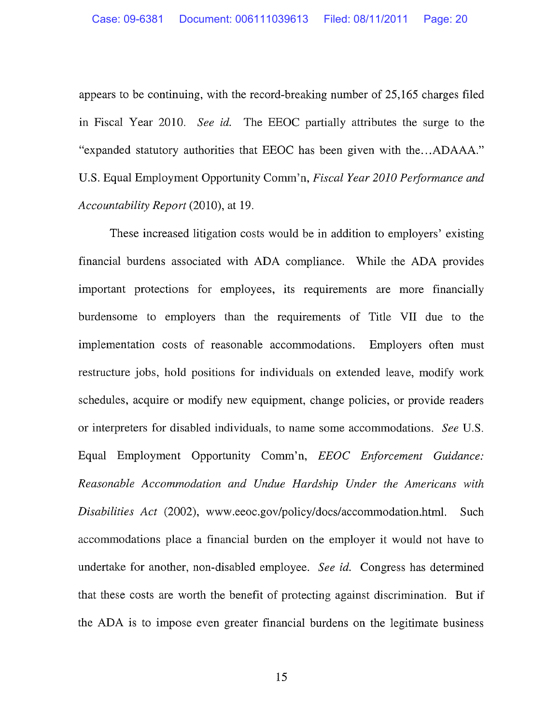appears to be continuing, with the record-breaking number of 25,165 charges filed in Fiscal Year 2010. *See id.* The EEOC partially attributes the surge to the "expanded statutory authorities that EEOC has been given with the...ADAAA." U.S. Equal Employment Opportunity Comm'n, *Fiscal Year 2010 Performance and Accountability Report* (2010), at 19.

These increased litigation costs would be in addition to employers' existing financial burdens associated with ADA compliance. While the ADA provides important protections for employees, its requirements are more financially burdensome to employers than the requirements of Title VII due to the implementation costs of reasonable accommodations. Employers often must restructure jobs, hold positions for individuals on extended leave, modify work schedules, acquire or modify new equipment, change policies, or provide readers or interpreters for disabled individuals, to name some accommodations. *See* U.S. Equal Employment Opportunity Comm'n, *EEOC Enforcement Guidance: Reasonable Accommodation and Undue Hardship Under the Americans with Disabilities Act* (2002), www.eeoc.gov/policy/docs/accommodation.html. Such accommodations place a financial burden on the employer it would not have to undertake for another, non-disabled employee. *See id.* Congress has determined that these costs are worth the benefit of protecting against discrimination. But if the ADA is to impose even greater financial burdens on the legitimate business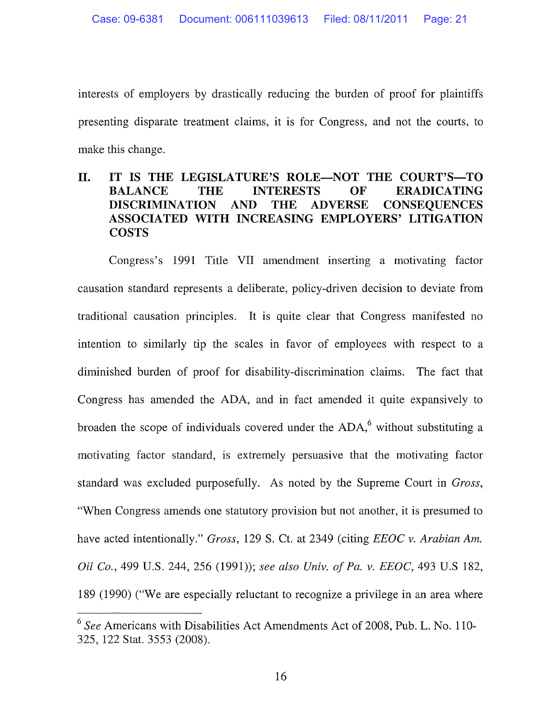interests of employers by drastically reducing the burden of proof for plaintiffs presenting disparate treatment claims, it is for Congress, and not the courts, to make this change.

### **II. IT IS THE LEGISLATURE'S ROLE-NOT THE COURT'S-TO BALANCE THE INTERESTS OF ERADICATING DISCRIMINATION AND THE ADVERSE CONSEQUENCES ASSOCIATED WITH INCREASING EMPLOYERS' LITIGATION COSTS**

Congress's 1991 Title VII amendment inserting a motivating factor causation standard represents a deliberate, policy-driven decision to deviate from traditional causation principles. It is quite clear that Congress manifested no intention to similarly tip the scales in favor of employees with respect to a diminished burden of proof for disability-discrimination claims. The fact that Congress has amended the ADA, and in fact amended it quite expansively to broaden the scope of individuals covered under the  $ADA<sup>6</sup>$  without substituting a motivating factor standard, is extremely persuasive that the motivating factor standard was excluded purposefully. As noted by the Supreme Court in *Gross,*  "When Congress amends one statutory provision but not another, it is presumed to have acted intentionally." *Gross,* 129 S. Ct. at 2349 (citing *EEOC v. Arabian Am. Oil Co.,* 499 U.S. 244, 256 (1991)); *see also Univ. of Pa. v. EEOC,* 493 U.S 182, 189 (1990) ("We are especially reluctant to recognize a privilege in an area where

<sup>6</sup>*See* Americans with Disabilities Act Amendments Act of 2008, Pub. L. No. 110- 325, 122 Stat. 3553 (2008).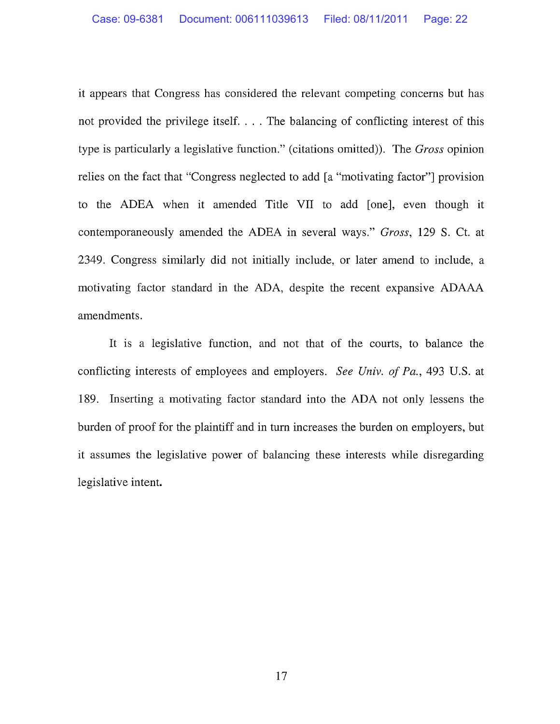it appears that Congress has considered the relevant competing concerns but has not provided the privilege itself. ... The balancing of conflicting interest of this type is particularly a legislative function." (citations omitted)). The *Gross* opinion relies on the fact that "Congress neglected to add [a "motivating factor"] provision to the ADEA when it amended Title VII to add [one], even though it contemporaneously amended the ADEA in several ways." *Gross,* 129 S. Ct. at 2349. Congress similarly did not initially include, or later amend to include, a motivating factor standard in the ADA, despite the recent expansive ADAAA amendments.

It is a legislative function, and not that of the courts, to balance the conflicting interests of employees and employers. *See Univ. of Pa.,* 493 U.S. at 189. Inserting a motivating factor standard into the ADA not only lessens the burden of proof for the plaintiff and in tum increases the burden on employers, but it assumes the legislative power of balancing these interests while disregarding legislative intent.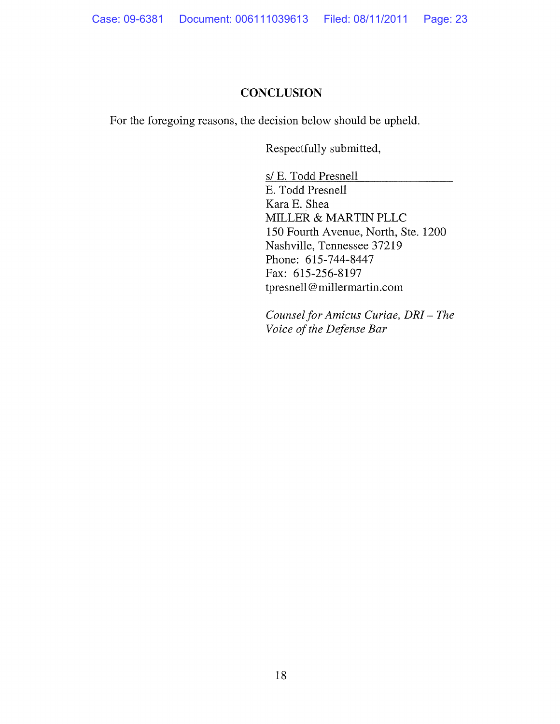## **CONCLUSION**

For the foregoing reasons, the decision below should be upheld.

Respectfully submitted,

s/ E. Todd Presnell E. Todd Presnell Kara E. Shea MILLER & MARTIN PLLC 150 Fourth Avenue, North, Ste. 1200 Nashville, Tennessee 37219 Phone: 615-744-8447 Fax: 615-256-8197 tpresnell@ millermartin.com

*Counsel for Amicus Curiae, DR!- The Voice of the Defense Bar*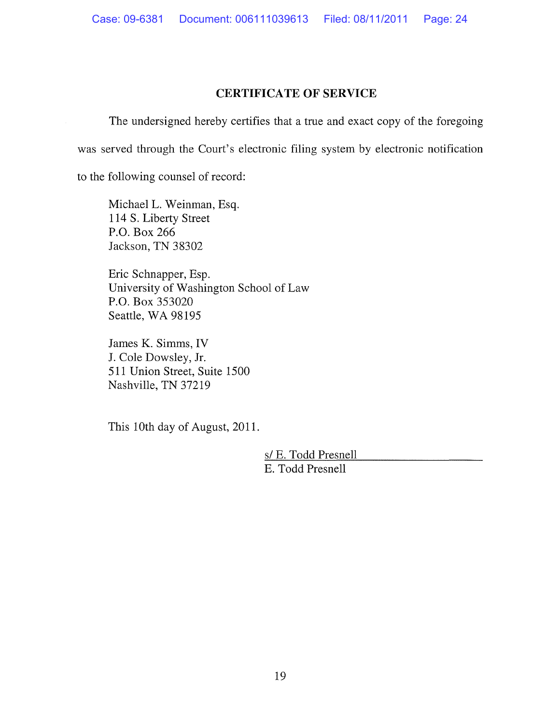#### **CERTIFICATE OF SERVICE**

The undersigned hereby certifies that a true and exact copy of the foregoing was served through the Court's electronic filing system by electronic notification

to the following counsel of record:

Michael L. Weinman, Esq. 114 S. Liberty Street P.O. Box 266 Jackson, TN 38302

Eric Schnapper, Esp. University of Washington School of Law P.O. Box 353020 Seattle, WA 98195

James K. Simms, IV J. Cole Dowsley, Jr. 511 Union Street, Suite 1500 Nashville, TN 37219

This 1Oth day of August, 2011.

s/ E. Todd Presnell E. Todd Presnell